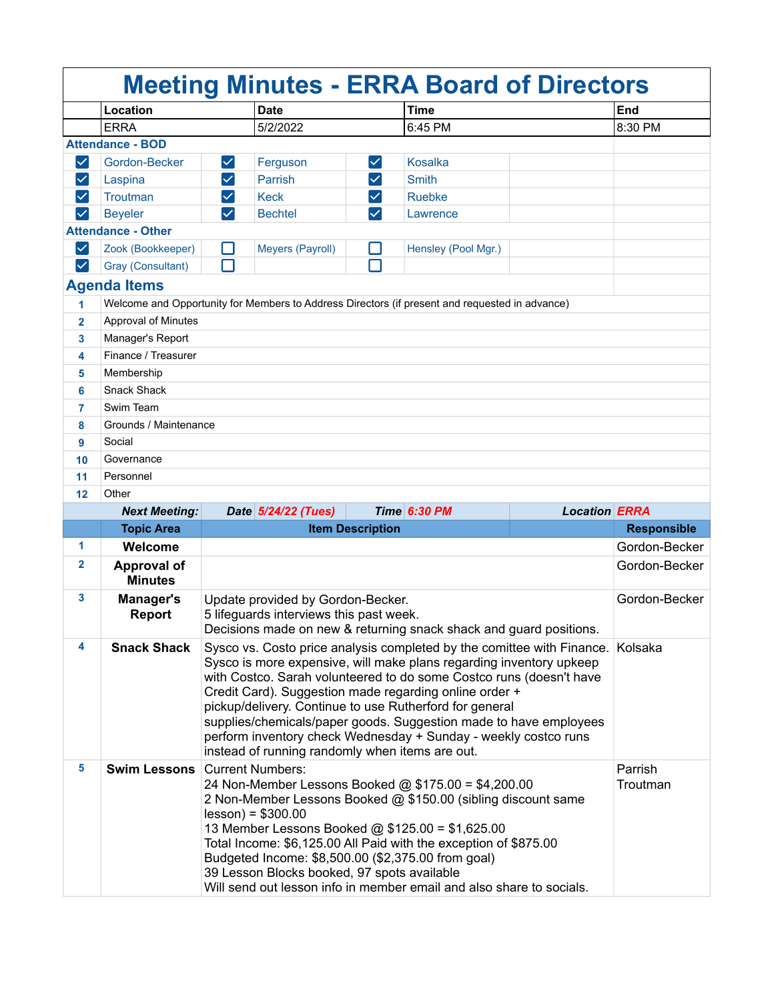| <b>Meeting Minutes - ERRA Board of Directors</b> |                                      |                                                                                                                                                                                                                                                                                                                                                                                                                                                                                                                                              |                     |                      |                                                                                                |                      |                    |  |
|--------------------------------------------------|--------------------------------------|----------------------------------------------------------------------------------------------------------------------------------------------------------------------------------------------------------------------------------------------------------------------------------------------------------------------------------------------------------------------------------------------------------------------------------------------------------------------------------------------------------------------------------------------|---------------------|----------------------|------------------------------------------------------------------------------------------------|----------------------|--------------------|--|
|                                                  | Location                             |                                                                                                                                                                                                                                                                                                                                                                                                                                                                                                                                              | <b>Date</b>         |                      | <b>Time</b>                                                                                    |                      | End                |  |
|                                                  | <b>ERRA</b>                          |                                                                                                                                                                                                                                                                                                                                                                                                                                                                                                                                              | 5/2/2022            |                      | 6:45 PM                                                                                        |                      | 8:30 PM            |  |
|                                                  | <b>Attendance - BOD</b>              |                                                                                                                                                                                                                                                                                                                                                                                                                                                                                                                                              |                     |                      |                                                                                                |                      |                    |  |
| $\vert \checkmark \vert$                         | Gordon-Becker                        | $\vert\checkmark\vert$                                                                                                                                                                                                                                                                                                                                                                                                                                                                                                                       | Ferguson            | $ \bm{\checkmark} $  | <b>Kosalka</b>                                                                                 |                      |                    |  |
| $\blacktriangledown$                             | Laspina                              | $\blacktriangledown$                                                                                                                                                                                                                                                                                                                                                                                                                                                                                                                         | Parrish             | $\blacktriangledown$ | <b>Smith</b>                                                                                   |                      |                    |  |
| $\checkmark$                                     | Troutman                             | $\blacktriangledown$                                                                                                                                                                                                                                                                                                                                                                                                                                                                                                                         | <b>Keck</b>         |                      | <b>Ruebke</b>                                                                                  |                      |                    |  |
| $\checkmark$                                     | <b>Beyeler</b>                       | $\checkmark$                                                                                                                                                                                                                                                                                                                                                                                                                                                                                                                                 | <b>Bechtel</b>      | $\blacktriangledown$ | Lawrence                                                                                       |                      |                    |  |
|                                                  | <b>Attendance - Other</b>            |                                                                                                                                                                                                                                                                                                                                                                                                                                                                                                                                              |                     |                      |                                                                                                |                      |                    |  |
| $\vert\mathcal{\mathcal{\mathcal{L}}}\vert$      | Zook (Bookkeeper)                    |                                                                                                                                                                                                                                                                                                                                                                                                                                                                                                                                              | Meyers (Payroll)    |                      | Hensley (Pool Mgr.)                                                                            |                      |                    |  |
| $\checkmark$                                     | Gray (Consultant)                    |                                                                                                                                                                                                                                                                                                                                                                                                                                                                                                                                              |                     | П                    |                                                                                                |                      |                    |  |
|                                                  | <b>Agenda Items</b>                  |                                                                                                                                                                                                                                                                                                                                                                                                                                                                                                                                              |                     |                      |                                                                                                |                      |                    |  |
| 1                                                |                                      |                                                                                                                                                                                                                                                                                                                                                                                                                                                                                                                                              |                     |                      | Welcome and Opportunity for Members to Address Directors (if present and requested in advance) |                      |                    |  |
| $\overline{2}$                                   | <b>Approval of Minutes</b>           |                                                                                                                                                                                                                                                                                                                                                                                                                                                                                                                                              |                     |                      |                                                                                                |                      |                    |  |
| 3                                                | Manager's Report                     |                                                                                                                                                                                                                                                                                                                                                                                                                                                                                                                                              |                     |                      |                                                                                                |                      |                    |  |
| 4                                                | Finance / Treasurer                  |                                                                                                                                                                                                                                                                                                                                                                                                                                                                                                                                              |                     |                      |                                                                                                |                      |                    |  |
| 5                                                | Membership                           |                                                                                                                                                                                                                                                                                                                                                                                                                                                                                                                                              |                     |                      |                                                                                                |                      |                    |  |
| 6                                                | <b>Snack Shack</b>                   |                                                                                                                                                                                                                                                                                                                                                                                                                                                                                                                                              |                     |                      |                                                                                                |                      |                    |  |
| 7                                                | Swim Team                            |                                                                                                                                                                                                                                                                                                                                                                                                                                                                                                                                              |                     |                      |                                                                                                |                      |                    |  |
| 8                                                | Grounds / Maintenance                |                                                                                                                                                                                                                                                                                                                                                                                                                                                                                                                                              |                     |                      |                                                                                                |                      |                    |  |
| 9                                                | Social                               |                                                                                                                                                                                                                                                                                                                                                                                                                                                                                                                                              |                     |                      |                                                                                                |                      |                    |  |
| 10                                               | Governance                           |                                                                                                                                                                                                                                                                                                                                                                                                                                                                                                                                              |                     |                      |                                                                                                |                      |                    |  |
| 11                                               | Personnel                            |                                                                                                                                                                                                                                                                                                                                                                                                                                                                                                                                              |                     |                      |                                                                                                |                      |                    |  |
| 12 <sub>2</sub>                                  | Other                                |                                                                                                                                                                                                                                                                                                                                                                                                                                                                                                                                              |                     |                      |                                                                                                |                      |                    |  |
|                                                  | <b>Next Meeting:</b>                 |                                                                                                                                                                                                                                                                                                                                                                                                                                                                                                                                              | Date 5/24/22 (Tues) |                      | <b>Time 6:30 PM</b>                                                                            | <b>Location ERRA</b> |                    |  |
|                                                  | <b>Topic Area</b>                    | <b>Item Description</b>                                                                                                                                                                                                                                                                                                                                                                                                                                                                                                                      |                     |                      |                                                                                                |                      | <b>Responsible</b> |  |
| 1.                                               | Welcome                              |                                                                                                                                                                                                                                                                                                                                                                                                                                                                                                                                              |                     |                      |                                                                                                |                      | Gordon-Becker      |  |
| $\mathbf{2}$                                     | <b>Approval of</b><br><b>Minutes</b> |                                                                                                                                                                                                                                                                                                                                                                                                                                                                                                                                              |                     |                      |                                                                                                |                      | Gordon-Becker      |  |
| 3                                                | Manager's<br><b>Report</b>           | Update provided by Gordon-Becker.<br>5 lifeguards interviews this past week.<br>Decisions made on new & returning snack shack and guard positions.                                                                                                                                                                                                                                                                                                                                                                                           |                     |                      |                                                                                                | Gordon-Becker        |                    |  |
| 4                                                | <b>Snack Shack</b>                   |                                                                                                                                                                                                                                                                                                                                                                                                                                                                                                                                              |                     |                      |                                                                                                |                      |                    |  |
|                                                  |                                      | Sysco vs. Costo price analysis completed by the comittee with Finance. Kolsaka<br>Sysco is more expensive, will make plans regarding inventory upkeep<br>with Costco. Sarah volunteered to do some Costco runs (doesn't have<br>Credit Card). Suggestion made regarding online order +<br>pickup/delivery. Continue to use Rutherford for general<br>supplies/chemicals/paper goods. Suggestion made to have employees<br>perform inventory check Wednesday + Sunday - weekly costco runs<br>instead of running randomly when items are out. |                     |                      |                                                                                                |                      |                    |  |
| 5                                                | <b>Swim Lessons</b>                  | <b>Current Numbers:</b><br>Parrish<br>24 Non-Member Lessons Booked @ \$175.00 = \$4,200.00<br>Troutman<br>2 Non-Member Lessons Booked @ \$150.00 (sibling discount same<br>$lesson$ ) = \$300.00<br>13 Member Lessons Booked @ \$125.00 = \$1,625.00<br>Total Income: \$6,125.00 All Paid with the exception of \$875.00<br>Budgeted Income: \$8,500.00 (\$2,375.00 from goal)<br>39 Lesson Blocks booked, 97 spots available<br>Will send out lesson info in member email and also share to socials.                                        |                     |                      |                                                                                                |                      |                    |  |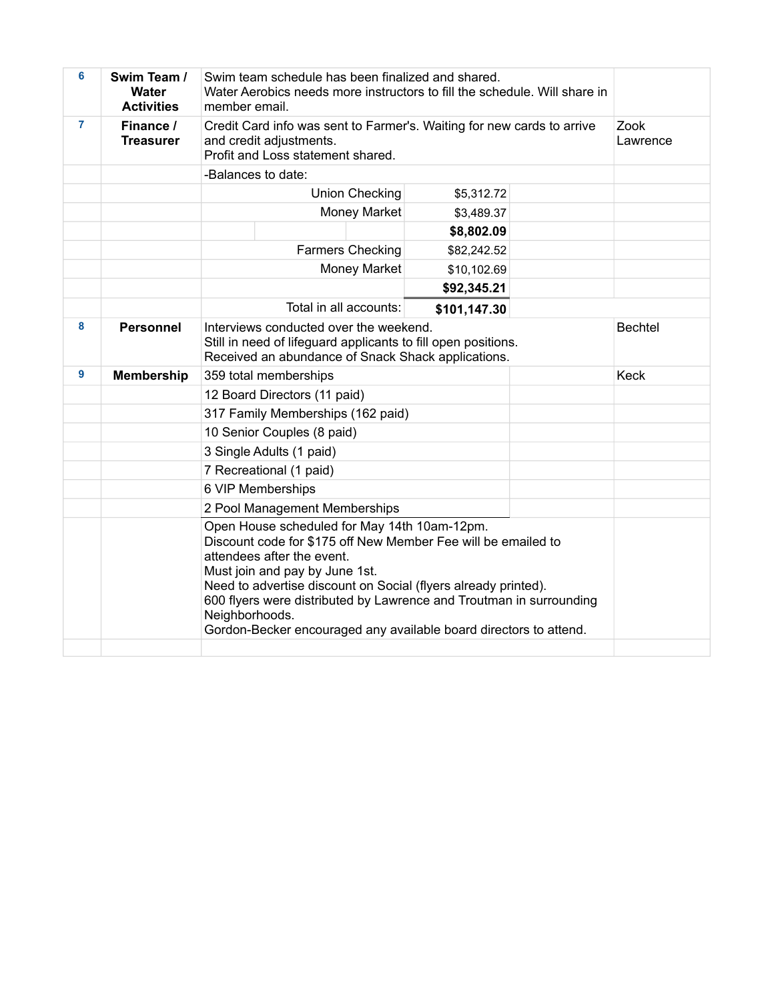| 6              | Swim Team /<br>Water<br><b>Activities</b> | Swim team schedule has been finalized and shared.<br>Water Aerobics needs more instructors to fill the schedule. Will share in<br>member email.                                                                                                                                                                                                                                                               |                  |  |
|----------------|-------------------------------------------|---------------------------------------------------------------------------------------------------------------------------------------------------------------------------------------------------------------------------------------------------------------------------------------------------------------------------------------------------------------------------------------------------------------|------------------|--|
| $\overline{7}$ | Finance /<br><b>Treasurer</b>             | Credit Card info was sent to Farmer's. Waiting for new cards to arrive<br>and credit adjustments.<br>Profit and Loss statement shared.                                                                                                                                                                                                                                                                        | Zook<br>Lawrence |  |
|                |                                           | -Balances to date:                                                                                                                                                                                                                                                                                                                                                                                            |                  |  |
|                |                                           | Union Checking                                                                                                                                                                                                                                                                                                                                                                                                |                  |  |
|                |                                           | Money Market                                                                                                                                                                                                                                                                                                                                                                                                  | \$3,489.37       |  |
|                |                                           |                                                                                                                                                                                                                                                                                                                                                                                                               | \$8,802.09       |  |
|                |                                           | <b>Farmers Checking</b>                                                                                                                                                                                                                                                                                                                                                                                       | \$82,242.52      |  |
|                |                                           | Money Market                                                                                                                                                                                                                                                                                                                                                                                                  | \$10,102.69      |  |
|                |                                           |                                                                                                                                                                                                                                                                                                                                                                                                               | \$92,345.21      |  |
|                |                                           | Total in all accounts:                                                                                                                                                                                                                                                                                                                                                                                        | \$101,147.30     |  |
| 8              | <b>Personnel</b>                          | Interviews conducted over the weekend.<br>Still in need of lifeguard applicants to fill open positions.<br>Received an abundance of Snack Shack applications.                                                                                                                                                                                                                                                 | <b>Bechtel</b>   |  |
| 9              | <b>Membership</b>                         | 359 total memberships                                                                                                                                                                                                                                                                                                                                                                                         | <b>Keck</b>      |  |
|                |                                           | 12 Board Directors (11 paid)                                                                                                                                                                                                                                                                                                                                                                                  |                  |  |
|                |                                           | 317 Family Memberships (162 paid)                                                                                                                                                                                                                                                                                                                                                                             |                  |  |
|                |                                           | 10 Senior Couples (8 paid)                                                                                                                                                                                                                                                                                                                                                                                    |                  |  |
|                |                                           | 3 Single Adults (1 paid)                                                                                                                                                                                                                                                                                                                                                                                      |                  |  |
|                |                                           | 7 Recreational (1 paid)                                                                                                                                                                                                                                                                                                                                                                                       |                  |  |
|                |                                           | 6 VIP Memberships                                                                                                                                                                                                                                                                                                                                                                                             |                  |  |
|                |                                           | 2 Pool Management Memberships                                                                                                                                                                                                                                                                                                                                                                                 |                  |  |
|                |                                           | Open House scheduled for May 14th 10am-12pm.<br>Discount code for \$175 off New Member Fee will be emailed to<br>attendees after the event.<br>Must join and pay by June 1st.<br>Need to advertise discount on Social (flyers already printed).<br>600 flyers were distributed by Lawrence and Troutman in surrounding<br>Neighborhoods.<br>Gordon-Becker encouraged any available board directors to attend. |                  |  |